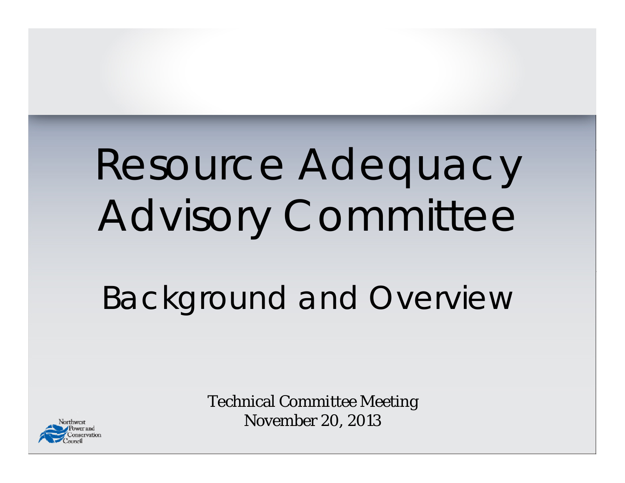# Resource Adequacy Advisory Committee

## Background and Overview



Technical Committee Meeting November 20, 2013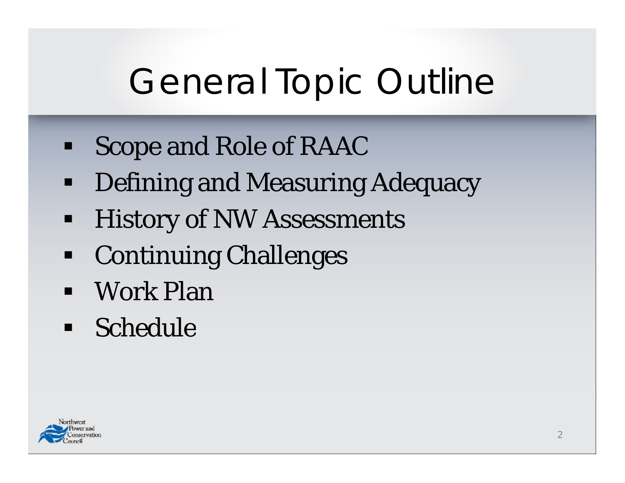# General Topic Outline

- Ξ Scope and Role of RAAC
- $\blacksquare$ Defining and Measuring Adequacy
- $\blacksquare$ **- History of NW Assessments**
- $\blacksquare$ Continuing Challenges
- Work Plan
- Schedule

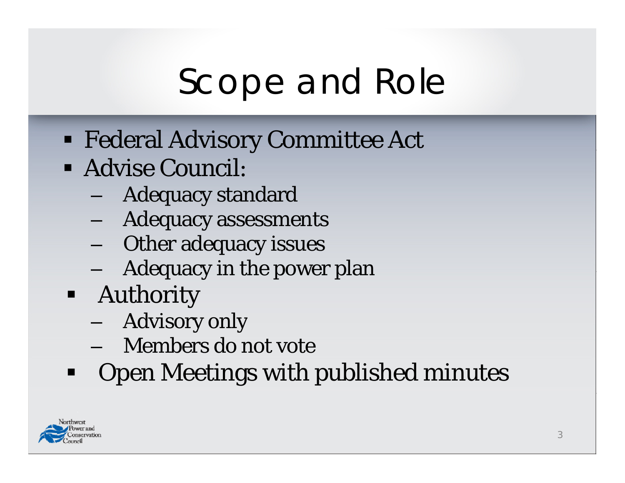# Scope and Role

- Federal Advisory Committee Act
- Advise Council:
	- Adequacy standard
	- Adequacy assessments
	- Other adequacy issues
	- Adequacy in the power plan
- **-** Authority
	- Advisory only
	- Members do not vote
- Open Meetings with published minutes

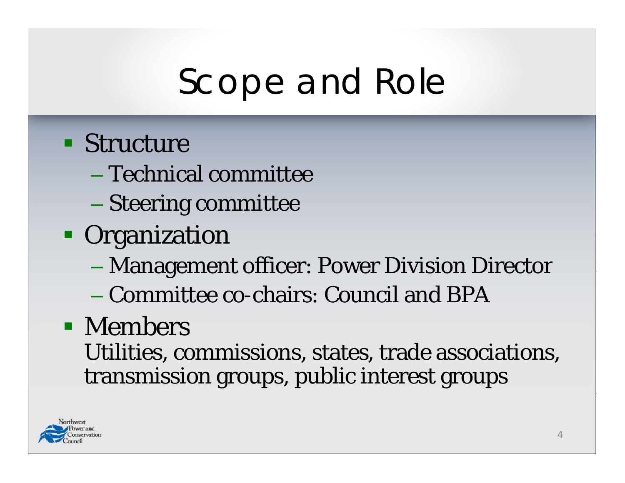## Scope and Role

### **Structure**

- Technical committee
- Steering committee
- **Organization** 
	- $\mathcal{L}_{\mathcal{A}}$ Management officer: Power Division Director
	- Committee co-chairs: Council and BPA

### • Members

Utilities, commissions, states, trade associations, transmission groups, public interest groups

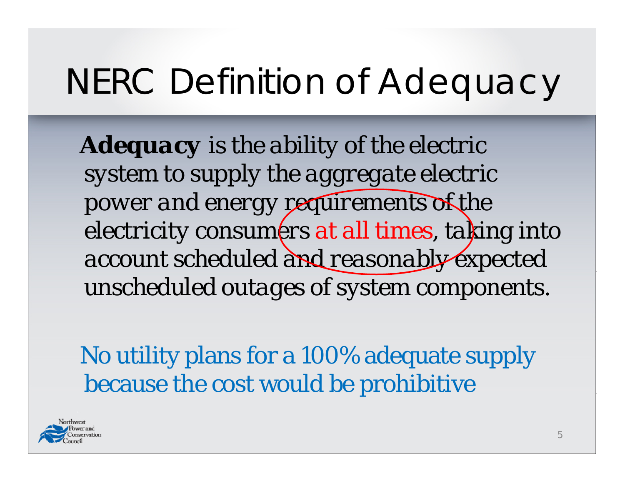## NERC Definition of Adequacy

*Adequacy is the ability of the electric system to supply the aggregate electric p gy q f ower and energy requirements of the electricity consumers at all times, taking into account scheduled and reasonably expected unscheduled outages of system components.*

No utility plans for a 100% adequate supply because the cost would be prohibitive

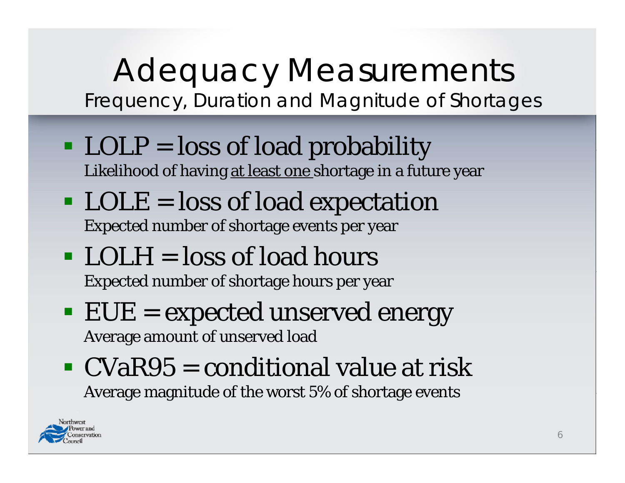### Adequacy Measurements Frequency, Duration and Magnitude of Shortages

- LOLP = loss of load probability Likelihood of having at least one shortage in a future year
- $\blacksquare$  LOLE = loss of load expectation Expected number of shortage events per year
- $\blacksquare$  LOLH = loss of load hours Expected number of shortage hours per year
- $\blacksquare$  EUE = expected unserved energy Average amount of unserved load
- $\blacksquare$  CVaR95 = conditional value at risk Average magnitude of the worst 5% of shortage events

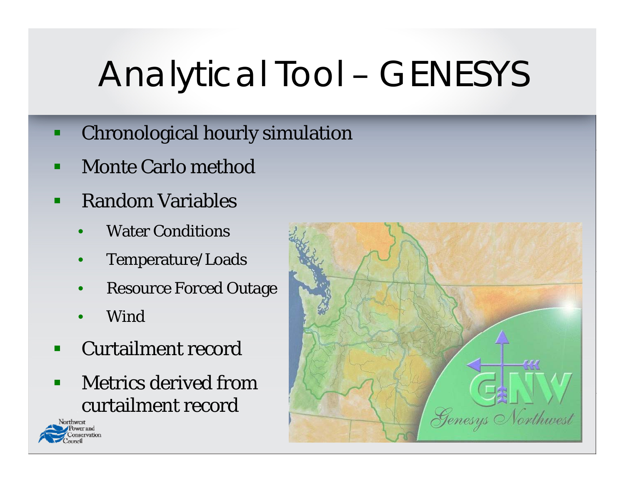# Analytical Tool – GENESYS

- $\blacksquare$ Chronological hourly simulation
- Monte Carlo method
- $\blacksquare$  Random Variables
	- •Water Conditions
	- •Temperature/Loads
	- •Resource Forced Outage
	- •Wind
- p. Curtailment record
- П Metrics derived fromcurtailment record



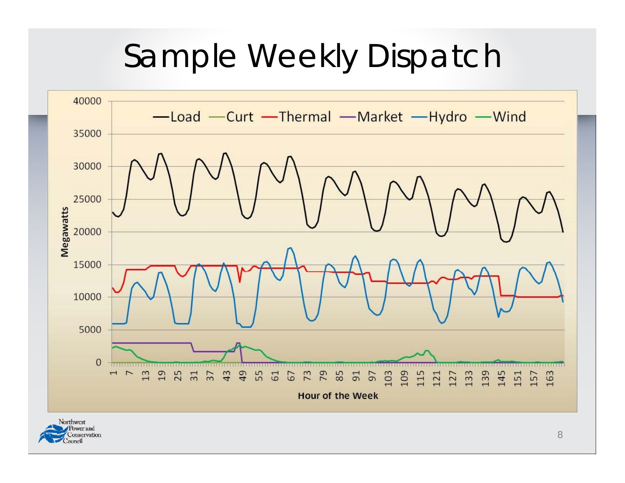## Sample Weekly Dispatch

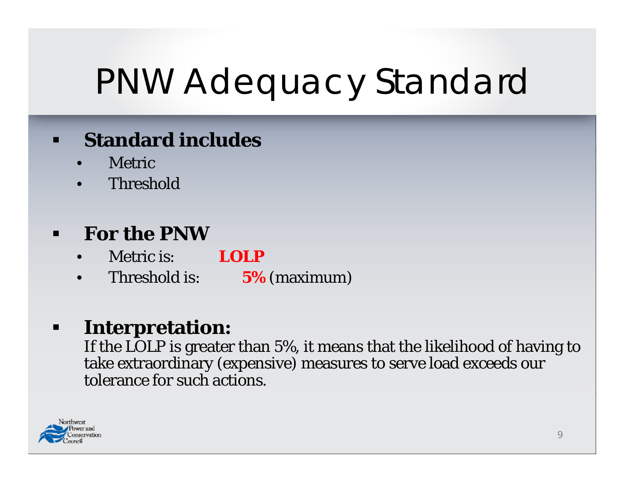# PNW Adequacy Standard

#### $\blacksquare$ **Standard includes**

- •Metric
- $\bullet$ Threshold

#### $\blacksquare$ **For the PNW**

- •Metric is: **LOLP**
- •Threshold is: **5%** (maximum)

#### $\blacksquare$ **Interpretation:**

If the LOLP is greater than 5%, it means that the likelihood of having to take extraordinary (expensive) measures to serve load exceeds our tolerance for such actions.

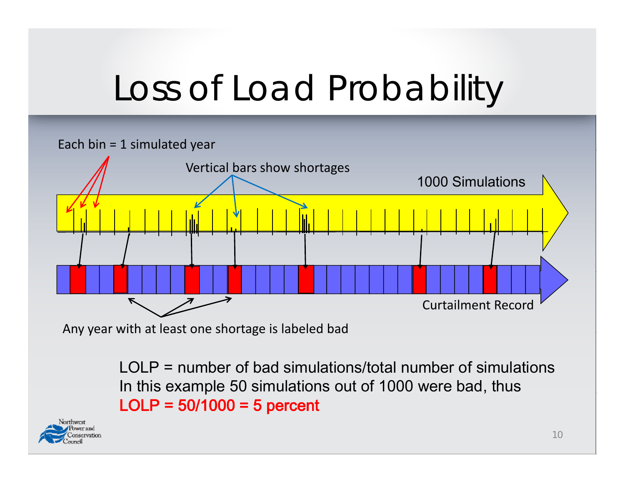# Loss of Load Probability



LOLP = number of bad simulations/total number of simulations In this example 50 simulations out of 1000 were bad, thus  $LOLP = 50/1000 = 5$  percent

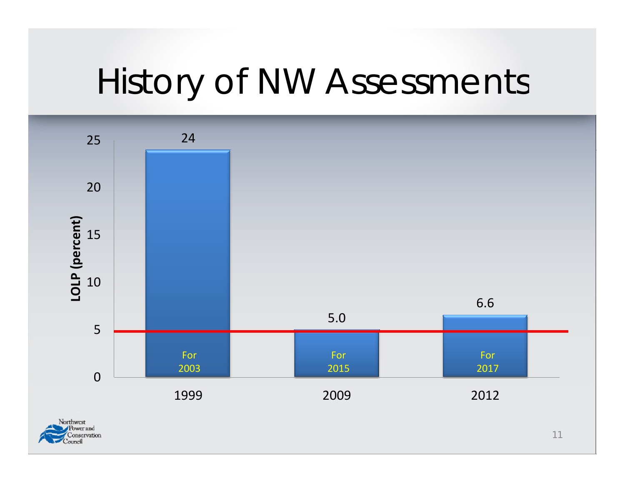## History of NW Assessments

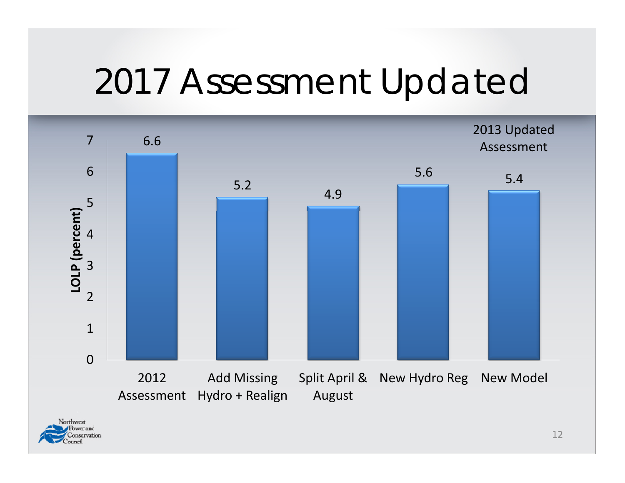## 2017 Assessment Updated

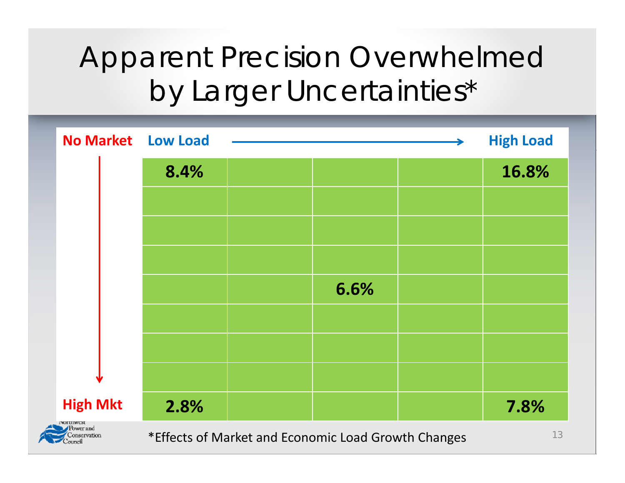### Apparent Precision Overwhelmed by Larger Uncertainties\*

| <b>No Market Low Load</b>                                     |                                                           |  |      |  | <b>High Load</b> |  |
|---------------------------------------------------------------|-----------------------------------------------------------|--|------|--|------------------|--|
|                                                               | 8.4%                                                      |  |      |  | 16.8%            |  |
|                                                               |                                                           |  |      |  |                  |  |
|                                                               |                                                           |  |      |  |                  |  |
|                                                               |                                                           |  |      |  |                  |  |
|                                                               |                                                           |  | 6.6% |  |                  |  |
|                                                               |                                                           |  |      |  |                  |  |
|                                                               |                                                           |  |      |  |                  |  |
|                                                               |                                                           |  |      |  |                  |  |
| <b>High Mkt</b>                                               | 2.8%                                                      |  |      |  | 7.8%             |  |
| <b>LANT FITAL COL</b><br>Power and<br>Conservation<br>Council | 13<br>*Effects of Market and Economic Load Growth Changes |  |      |  |                  |  |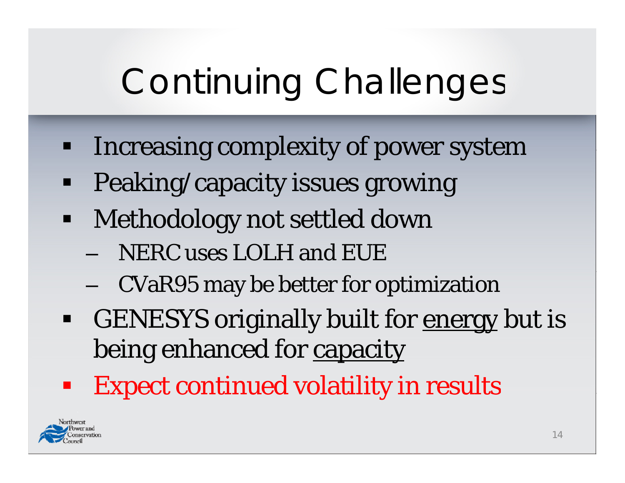# Continuing Challenges

- Ξ Increasing complexity of power system
- Ξ Peaking/capacity issues growing
- $\blacksquare$ • Methodology not settled down
	- NERC uses LOLH and EUE
	- CVaR95 may be better for optimization
- GENESYS originally built for <u>energy</u> but is being enhanced for capacity
- Expect continued volatility in results

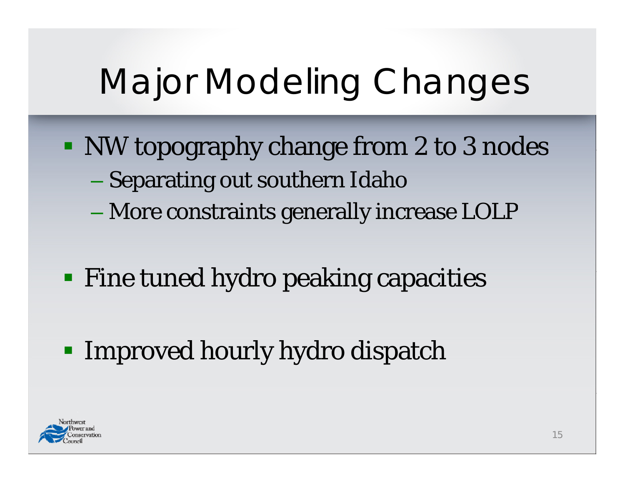# Major Modeling Changes

- NW topography change from 2 to 3 nodes Separating out southern Idaho
	- More constraints generally increase LOLP
- **Fine tuned hydro peaking capacities**
- **Improved hourly hydro dispatch**

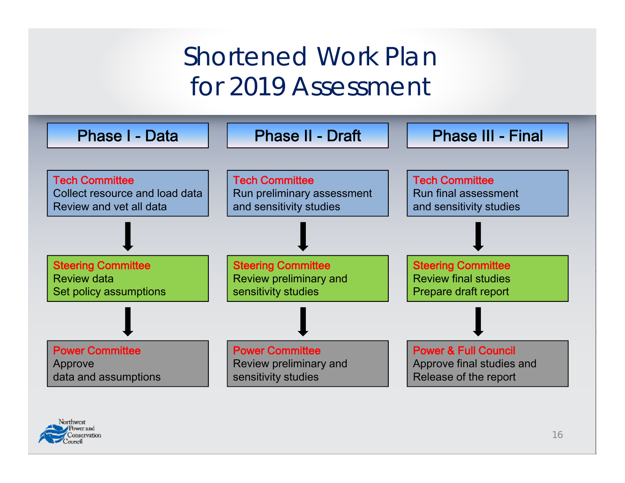### Shortened Work Plan for 2019 Assessment

| <b>Phase I - Data</b>                                                              | <b>Phase II - Draft</b>                                                        | <b>Phase III - Final</b>                                                              |
|------------------------------------------------------------------------------------|--------------------------------------------------------------------------------|---------------------------------------------------------------------------------------|
|                                                                                    |                                                                                |                                                                                       |
| <b>Tech Committee</b><br>Collect resource and load data<br>Review and vet all data | <b>Tech Committee</b><br>Run preliminary assessment<br>and sensitivity studies | <b>Tech Committee</b><br><b>Run final assessment</b><br>and sensitivity studies       |
|                                                                                    |                                                                                |                                                                                       |
| <b>Steering Committee</b><br><b>Review data</b><br>Set policy assumptions          | <b>Steering Committee</b><br>Review preliminary and<br>sensitivity studies     | <b>Steering Committee</b><br><b>Review final studies</b><br>Prepare draft report      |
|                                                                                    |                                                                                |                                                                                       |
| <b>Power Committee</b><br>Approve<br>data and assumptions                          | <b>Power Committee</b><br>Review preliminary and<br>sensitivity studies        | <b>Power &amp; Full Council</b><br>Approve final studies and<br>Release of the report |